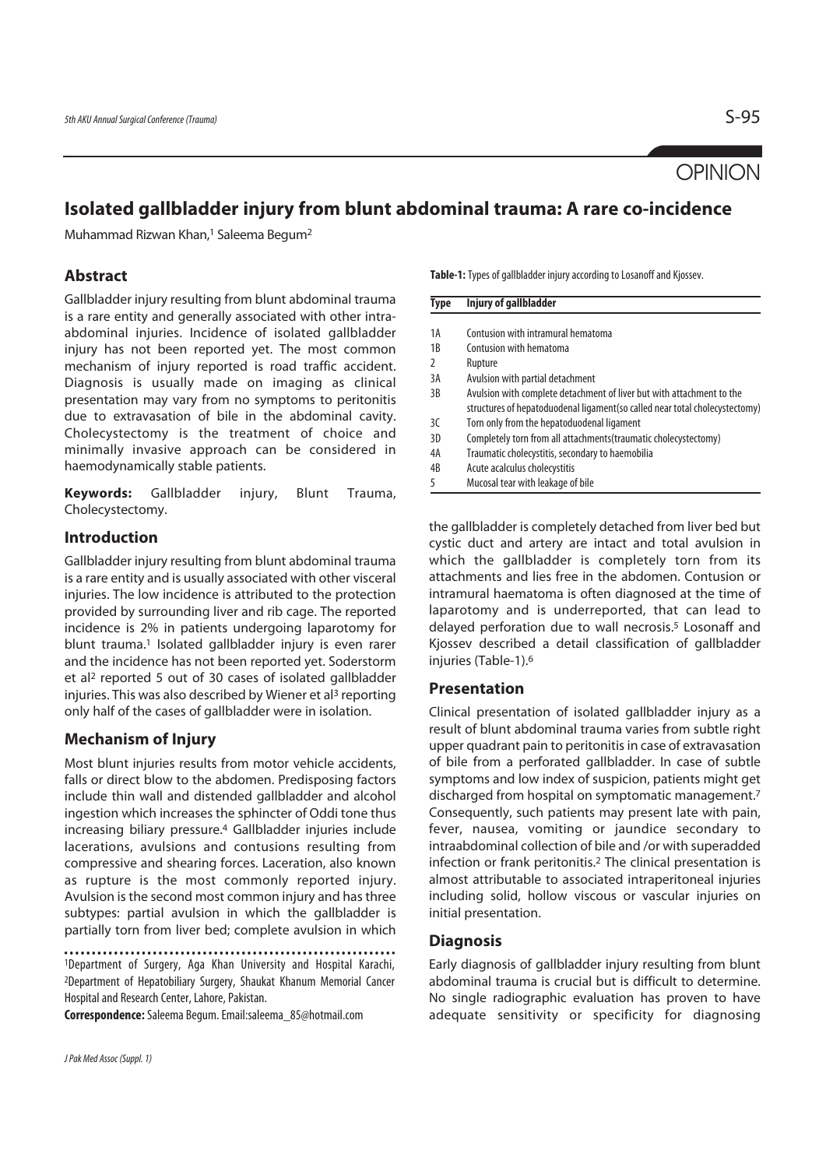**OPINION** 

# **Isolated gallbladder injury from blunt abdominal trauma: A rare co-incidence**

Muhammad Rizwan Khan,1 Saleema Begum2

# **Abstract**

Gallbladder injury resulting from blunt abdominal trauma is a rare entity and generally associated with other intraabdominal injuries. Incidence of isolated gallbladder injury has not been reported yet. The most common mechanism of injury reported is road traffic accident. Diagnosis is usually made on imaging as clinical presentation may vary from no symptoms to peritonitis due to extravasation of bile in the abdominal cavity. Cholecystectomy is the treatment of choice and minimally invasive approach can be considered in haemodynamically stable patients.

**Keywords:** Gallbladder injury, Blunt Trauma, Cholecystectomy.

## **Introduction**

Gallbladder injury resulting from blunt abdominal trauma is a rare entity and is usually associated with other visceral injuries. The low incidence is attributed to the protection provided by surrounding liver and rib cage. The reported incidence is 2% in patients undergoing laparotomy for blunt trauma.<sup>1</sup> Isolated gallbladder injury is even rarer and the incidence has not been reported yet. Soderstorm et al2 reported 5 out of 30 cases of isolated gallbladder injuries. This was also described by Wiener et al<sup>3</sup> reporting only half of the cases of gallbladder were in isolation.

# **Mechanism of Injury**

Most blunt injuries results from motor vehicle accidents, falls or direct blow to the abdomen. Predisposing factors include thin wall and distended gallbladder and alcohol ingestion which increases the sphincter of Oddi tone thus increasing biliary pressure.4 Gallbladder injuries include lacerations, avulsions and contusions resulting from compressive and shearing forces. Laceration, also known as rupture is the most commonly reported injury. Avulsion is the second most common injury and has three subtypes: partial avulsion in which the gallbladder is partially torn from liver bed; complete avulsion in which

1Department of Surgery, Aga Khan University and Hospital Karachi, 2Department of Hepatobiliary Surgery, Shaukat Khanum Memorial Cancer Hospital and Research Center, Lahore, Pakistan.

**Correspondence:** Saleema Begum. Email:saleema\_85@hotmail.com

**Table-1:** Types of gallbladder injury according to Losanoff and Kjossev.

| Type | <b>Injury of gallbladder</b>                                                |  |
|------|-----------------------------------------------------------------------------|--|
|      |                                                                             |  |
| 1A   | Contusion with intramural hematoma                                          |  |
| 1B   | Contusion with hematoma                                                     |  |
| 2    | Rupture                                                                     |  |
| 3A   | Avulsion with partial detachment                                            |  |
| 3B   | Avulsion with complete detachment of liver but with attachment to the       |  |
|      | structures of hepatoduodenal ligament(so called near total cholecystectomy) |  |
| 3C   | Torn only from the hepatoduodenal ligament                                  |  |
| 3D   | Completely torn from all attachments (traumatic cholecystectomy)            |  |
| 4A   | Traumatic cholecystitis, secondary to haemobilia                            |  |
| 4B   | Acute acalculus cholecystitis                                               |  |
|      | Mucosal tear with leakage of bile                                           |  |

the gallbladder is completely detached from liver bed but cystic duct and artery are intact and total avulsion in which the gallbladder is completely torn from its attachments and lies free in the abdomen. Contusion or intramural haematoma is often diagnosed at the time of laparotomy and is underreported, that can lead to delayed perforation due to wall necrosis.<sup>5</sup> Losonaff and Kjossev described a detail classification of gallbladder injuries (Table-1).6

## **Presentation**

Clinical presentation of isolated gallbladder injury as a result of blunt abdominal trauma varies from subtle right upper quadrant pain to peritonitis in case of extravasation of bile from a perforated gallbladder. In case of subtle symptoms and low index of suspicion, patients might get discharged from hospital on symptomatic management.<sup>7</sup> Consequently, such patients may present late with pain, fever, nausea, vomiting or jaundice secondary to intraabdominal collection of bile and /or with superadded infection or frank peritonitis.2 The clinical presentation is almost attributable to associated intraperitoneal injuries including solid, hollow viscous or vascular injuries on initial presentation.

## **Diagnosis**

Early diagnosis of gallbladder injury resulting from blunt abdominal trauma is crucial but is difficult to determine. No single radiographic evaluation has proven to have adequate sensitivity or specificity for diagnosing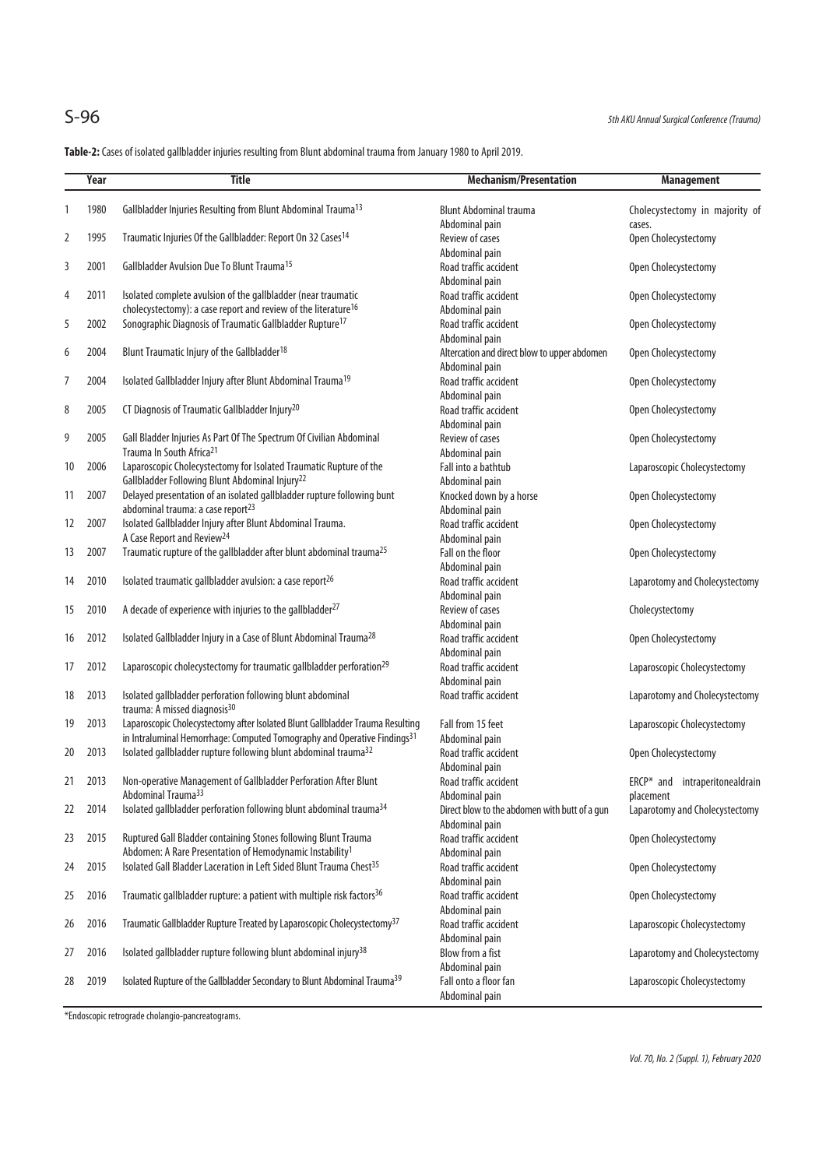**Table-2:** Cases of isolated gallbladder injuries resulting from Blunt abdominal trauma from January 1980 to April 2019.

|    | Year | <b>Title</b>                                                                          | <b>Mechanism/Presentation</b>                 | <b>Management</b>              |
|----|------|---------------------------------------------------------------------------------------|-----------------------------------------------|--------------------------------|
| 1  | 1980 | Gallbladder Injuries Resulting from Blunt Abdominal Trauma <sup>13</sup>              | <b>Blunt Abdominal trauma</b>                 | Cholecystectomy in majority of |
|    |      |                                                                                       | Abdominal pain                                | cases.                         |
| 2  | 1995 | Traumatic Injuries Of the Gallbladder: Report On 32 Cases <sup>14</sup>               | Review of cases                               | Open Cholecystectomy           |
|    |      |                                                                                       | Abdominal pain                                |                                |
| 3  | 2001 | Gallbladder Avulsion Due To Blunt Trauma <sup>15</sup>                                | Road traffic accident                         | Open Cholecystectomy           |
|    |      |                                                                                       | Abdominal pain                                |                                |
| 4  | 2011 | Isolated complete avulsion of the gallbladder (near traumatic                         | Road traffic accident                         | Open Cholecystectomy           |
|    |      | cholecystectomy): a case report and review of the literature <sup>16</sup>            | Abdominal pain                                |                                |
| 5  | 2002 | Sonographic Diagnosis of Traumatic Gallbladder Rupture <sup>17</sup>                  | Road traffic accident                         | Open Cholecystectomy           |
|    |      |                                                                                       | Abdominal pain                                |                                |
| 6  | 2004 | Blunt Traumatic Injury of the Gallbladder <sup>18</sup>                               | Altercation and direct blow to upper abdomen  | Open Cholecystectomy           |
|    |      |                                                                                       | Abdominal pain                                |                                |
| 7  | 2004 | Isolated Gallbladder Injury after Blunt Abdominal Trauma <sup>19</sup>                | Road traffic accident                         | Open Cholecystectomy           |
|    |      |                                                                                       | Abdominal pain                                |                                |
| 8  | 2005 | CT Diagnosis of Traumatic Gallbladder Injury <sup>20</sup>                            | Road traffic accident                         | Open Cholecystectomy           |
|    |      |                                                                                       | Abdominal pain                                |                                |
| 9  | 2005 | Gall Bladder Injuries As Part Of The Spectrum Of Civilian Abdominal                   | Review of cases                               | Open Cholecystectomy           |
|    |      | Trauma In South Africa <sup>21</sup>                                                  | Abdominal pain                                |                                |
| 10 | 2006 | Laparoscopic Cholecystectomy for Isolated Traumatic Rupture of the                    | Fall into a bathtub                           | Laparoscopic Cholecystectomy   |
|    |      | Gallbladder Following Blunt Abdominal Injury <sup>22</sup>                            | Abdominal pain                                |                                |
| 11 | 2007 | Delayed presentation of an isolated gallbladder rupture following bunt                | Knocked down by a horse                       | Open Cholecystectomy           |
|    |      | abdominal trauma: a case report <sup>23</sup>                                         | Abdominal pain                                |                                |
| 12 | 2007 | Isolated Gallbladder Injury after Blunt Abdominal Trauma.                             | Road traffic accident                         | Open Cholecystectomy           |
|    |      | A Case Report and Review <sup>24</sup>                                                | Abdominal pain                                |                                |
| 13 | 2007 | Traumatic rupture of the gallbladder after blunt abdominal trauma <sup>25</sup>       | Fall on the floor                             | Open Cholecystectomy           |
|    |      |                                                                                       | Abdominal pain                                |                                |
| 14 | 2010 | Isolated traumatic gallbladder avulsion: a case report <sup>26</sup>                  | Road traffic accident                         | Laparotomy and Cholecystectomy |
|    |      |                                                                                       | Abdominal pain                                |                                |
| 15 | 2010 | A decade of experience with injuries to the gallbladder <sup>27</sup>                 | Review of cases                               | Cholecystectomy                |
|    |      |                                                                                       | Abdominal pain                                |                                |
| 16 | 2012 | Isolated Gallbladder Injury in a Case of Blunt Abdominal Trauma <sup>28</sup>         | Road traffic accident                         | Open Cholecystectomy           |
|    |      |                                                                                       | Abdominal pain                                |                                |
| 17 | 2012 | Laparoscopic cholecystectomy for traumatic gallbladder perforation <sup>29</sup>      | Road traffic accident                         | Laparoscopic Cholecystectomy   |
|    |      |                                                                                       | Abdominal pain                                |                                |
| 18 | 2013 | Isolated gallbladder perforation following blunt abdominal                            | Road traffic accident                         | Laparotomy and Cholecystectomy |
|    |      | trauma: A missed diagnosis <sup>30</sup>                                              |                                               |                                |
| 19 | 2013 | Laparoscopic Cholecystectomy after Isolated Blunt Gallbladder Trauma Resulting        | Fall from 15 feet                             | Laparoscopic Cholecystectomy   |
|    |      | in Intraluminal Hemorrhage: Computed Tomography and Operative Findings <sup>31</sup>  | Abdominal pain                                |                                |
| 20 | 2013 | Isolated gallbladder rupture following blunt abdominal trauma <sup>32</sup>           | Road traffic accident                         | Open Cholecystectomy           |
|    |      |                                                                                       | Abdominal pain                                |                                |
| 21 | 2013 | Non-operative Management of Gallbladder Perforation After Blunt                       | Road traffic accident                         | ERCP* and intraperitonealdrain |
|    |      | Abdominal Trauma <sup>33</sup>                                                        | Abdominal pain                                | placement                      |
| 22 | 2014 | Isolated gallbladder perforation following blunt abdominal trauma <sup>34</sup>       | Direct blow to the abdomen with butt of a gun | Laparotomy and Cholecystectomy |
|    |      |                                                                                       | Abdominal pain                                |                                |
| 23 | 2015 | Ruptured Gall Bladder containing Stones following Blunt Trauma                        | Road traffic accident                         | Open Cholecystectomy           |
|    |      | Abdomen: A Rare Presentation of Hemodynamic Instability <sup>1</sup>                  | Abdominal pain                                |                                |
| 24 | 2015 | Isolated Gall Bladder Laceration in Left Sided Blunt Trauma Chest <sup>35</sup>       | Road traffic accident                         | Open Cholecystectomy           |
|    |      |                                                                                       | Abdominal pain                                |                                |
| 25 | 2016 | Traumatic gallbladder rupture: a patient with multiple risk factors <sup>36</sup>     | Road traffic accident                         | Open Cholecystectomy           |
|    |      |                                                                                       | Abdominal pain                                |                                |
| 26 | 2016 | Traumatic Gallbladder Rupture Treated by Laparoscopic Cholecystectomy <sup>37</sup>   | Road traffic accident                         | Laparoscopic Cholecystectomy   |
|    |      |                                                                                       | Abdominal pain                                |                                |
| 27 | 2016 | Isolated gallbladder rupture following blunt abdominal injury <sup>38</sup>           | Blow from a fist                              | Laparotomy and Cholecystectomy |
|    |      |                                                                                       | Abdominal pain                                |                                |
| 28 | 2019 | Isolated Rupture of the Gallbladder Secondary to Blunt Abdominal Trauma <sup>39</sup> | Fall onto a floor fan                         | Laparoscopic Cholecystectomy   |
|    |      |                                                                                       | Abdominal pain                                |                                |

\*Endoscopic retrograde cholangio-pancreatograms.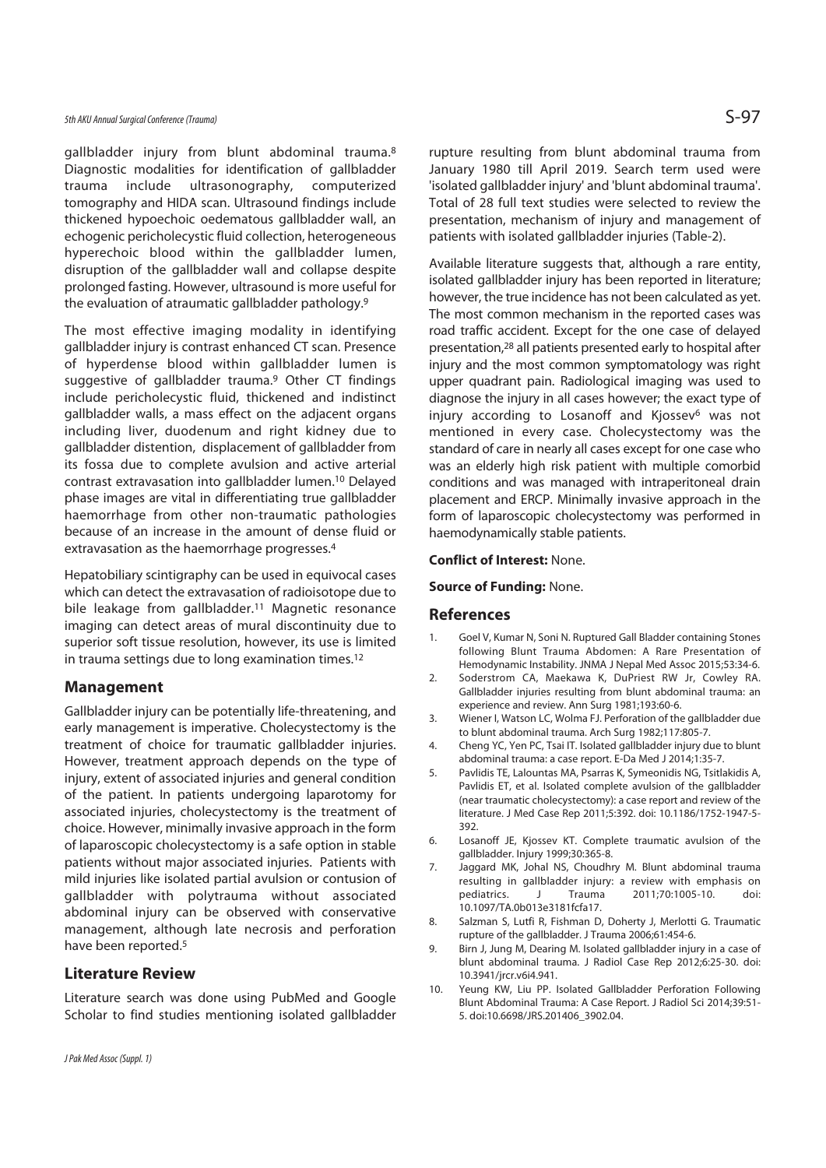## 5th AKU Annual Surgical Conference (Trauma)  $S$ -97

gallbladder injury from blunt abdominal trauma.8 Diagnostic modalities for identification of gallbladder trauma include ultrasonography, computerized tomography and HIDA scan. Ultrasound findings include thickened hypoechoic oedematous gallbladder wall, an echogenic pericholecystic fluid collection, heterogeneous hyperechoic blood within the gallbladder lumen, disruption of the gallbladder wall and collapse despite prolonged fasting. However, ultrasound is more useful for the evaluation of atraumatic gallbladder pathology.9

The most effective imaging modality in identifying gallbladder injury is contrast enhanced CT scan. Presence of hyperdense blood within gallbladder lumen is suggestive of gallbladder trauma.9 Other CT findings include pericholecystic fluid, thickened and indistinct gallbladder walls, a mass effect on the adjacent organs including liver, duodenum and right kidney due to gallbladder distention, displacement of gallbladder from its fossa due to complete avulsion and active arterial contrast extravasation into gallbladder lumen.10 Delayed phase images are vital in differentiating true gallbladder haemorrhage from other non-traumatic pathologies because of an increase in the amount of dense fluid or extravasation as the haemorrhage progresses.4

Hepatobiliary scintigraphy can be used in equivocal cases which can detect the extravasation of radioisotope due to bile leakage from gallbladder.<sup>11</sup> Magnetic resonance imaging can detect areas of mural discontinuity due to superior soft tissue resolution, however, its use is limited in trauma settings due to long examination times.12

### **Management**

Gallbladder injury can be potentially life-threatening, and early management is imperative. Cholecystectomy is the treatment of choice for traumatic gallbladder injuries. However, treatment approach depends on the type of injury, extent of associated injuries and general condition of the patient. In patients undergoing laparotomy for associated injuries, cholecystectomy is the treatment of choice. However, minimally invasive approach in the form of laparoscopic cholecystectomy is a safe option in stable patients without major associated injuries. Patients with mild injuries like isolated partial avulsion or contusion of gallbladder with polytrauma without associated abdominal injury can be observed with conservative management, although late necrosis and perforation have been reported.5

### **Literature Review**

Literature search was done using PubMed and Google Scholar to find studies mentioning isolated gallbladder

rupture resulting from blunt abdominal trauma from January 1980 till April 2019. Search term used were 'isolated gallbladder injury' and 'blunt abdominal trauma'. Total of 28 full text studies were selected to review the presentation, mechanism of injury and management of patients with isolated gallbladder injuries (Table-2).

Available literature suggests that, although a rare entity, isolated gallbladder injury has been reported in literature; however, the true incidence has not been calculated as yet. The most common mechanism in the reported cases was road traffic accident. Except for the one case of delayed presentation,28 all patients presented early to hospital after injury and the most common symptomatology was right upper quadrant pain. Radiological imaging was used to diagnose the injury in all cases however; the exact type of injury according to Losanoff and Kjossev<sup>6</sup> was not mentioned in every case. Cholecystectomy was the standard of care in nearly all cases except for one case who was an elderly high risk patient with multiple comorbid conditions and was managed with intraperitoneal drain placement and ERCP. Minimally invasive approach in the form of laparoscopic cholecystectomy was performed in haemodynamically stable patients.

#### **Conflict of Interest:** None.

#### **Source of Funding:** None.

#### **References**

- 1. Goel V, Kumar N, Soni N. Ruptured Gall Bladder containing Stones following Blunt Trauma Abdomen: A Rare Presentation of Hemodynamic Instability. JNMA J Nepal Med Assoc 2015;53:34-6.
- 2. Soderstrom CA, Maekawa K, DuPriest RW Jr, Cowley RA. Gallbladder injuries resulting from blunt abdominal trauma: an experience and review. Ann Surg 1981;193:60-6.
- 3. Wiener I, Watson LC, Wolma FJ. Perforation of the gallbladder due to blunt abdominal trauma. Arch Surg 1982;117:805-7.
- 4. Cheng YC, Yen PC, Tsai IT. Isolated gallbladder injury due to blunt abdominal trauma: a case report. E-Da Med J 2014;1:35-7.
- 5. Pavlidis TE, Lalountas MA, Psarras K, Symeonidis NG, Tsitlakidis A, Pavlidis ET, et al. Isolated complete avulsion of the gallbladder (near traumatic cholecystectomy): a case report and review of the literature. J Med Case Rep 2011;5:392. doi: 10.1186/1752-1947-5- 392.
- 6. Losanoff JE, Kjossev KT. Complete traumatic avulsion of the gallbladder. Injury 1999;30:365-8.
- 7. Jaggard MK, Johal NS, Choudhry M. Blunt abdominal trauma resulting in gallbladder injury: a review with emphasis on pediatrics. J Trauma 2011;70:1005-10. doi: 10.1097/TA.0b013e3181fcfa17.
- 8. Salzman S, Lutfi R, Fishman D, Doherty J, Merlotti G. Traumatic rupture of the gallbladder. J Trauma 2006;61:454-6.
- 9. Birn J, Jung M, Dearing M. Isolated gallbladder injury in a case of blunt abdominal trauma. J Radiol Case Rep 2012;6:25-30. doi: 10.3941/jrcr.v6i4.941.
- 10. Yeung KW, Liu PP. Isolated Gallbladder Perforation Following Blunt Abdominal Trauma: A Case Report. J Radiol Sci 2014;39:51- 5. doi:10.6698/JRS.201406\_3902.04.